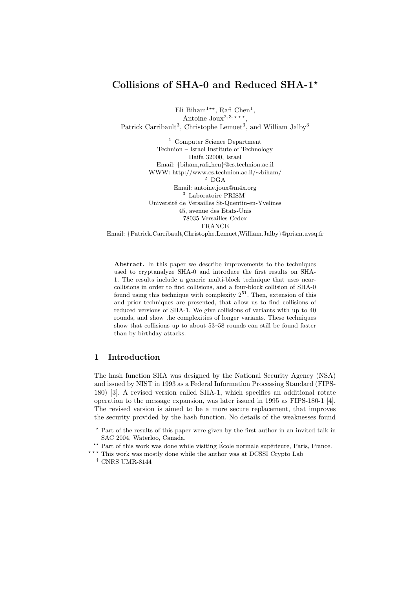# Collisions of SHA-0 and Reduced SHA-1?

Eli Biham<sup>1\*\*</sup>, Rafi Chen<sup>1</sup>, Antoine  $Joux^{2,3,*}$ \*\*, Patrick Carribault<sup>3</sup>, Christophe Lemuet<sup>3</sup>, and William Jalby<sup>3</sup>

<sup>1</sup> Computer Science Department Technion – Israel Institute of Technology Haifa 32000, Israel Email: {biham,rafi hen}@cs.technion.ac.il WWW: http://www.cs.technion.ac.il/∼biham/  $2$  DGA Email: antoine.joux@m4x.org  $^3$  Laboratoire PRISM $^\dagger$ Université de Versailles St-Quentin-en-Yvelines 45, avenue des Etats-Unis 78035 Versailles Cedex FRANCE Email: {Patrick.Carribault,Christophe.Lemuet,William.Jalby}@prism.uvsq.fr

Abstract. In this paper we describe improvements to the techniques used to cryptanalyze SHA-0 and introduce the first results on SHA-1. The results include a generic multi-block technique that uses nearcollisions in order to find collisions, and a four-block collision of SHA-0 found using this technique with complexity  $2^{51}$ . Then, extension of this and prior techniques are presented, that allow us to find collisions of reduced versions of SHA-1. We give collisions of variants with up to 40 rounds, and show the complexities of longer variants. These techniques show that collisions up to about 53–58 rounds can still be found faster than by birthday attacks.

# 1 Introduction

The hash function SHA was designed by the National Security Agency (NSA) and issued by NIST in 1993 as a Federal Information Processing Standard (FIPS-180) [3]. A revised version called SHA-1, which specifies an additional rotate operation to the message expansion, was later issued in 1995 as FIPS-180-1 [4]. The revised version is aimed to be a more secure replacement, that improves the security provided by the hash function. No details of the weaknesses found

<sup>?</sup> Part of the results of this paper were given by the first author in an invited talk in SAC 2004, Waterloo, Canada.

<sup>\*\*</sup> Part of this work was done while visiting École normale supérieure, Paris, France.

<sup>\*\*\*</sup> This work was mostly done while the author was at DCSSI Crypto Lab

<sup>†</sup> CNRS UMR-8144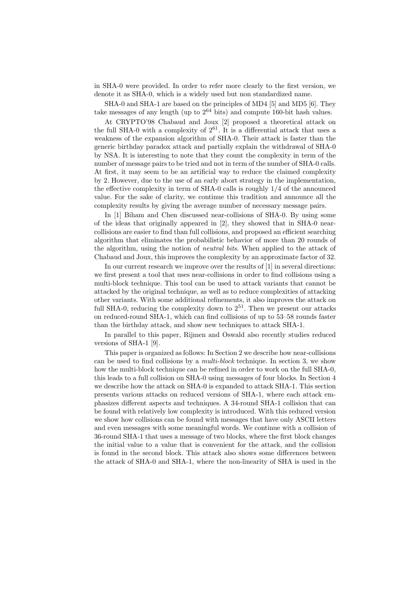in SHA-0 were provided. In order to refer more clearly to the first version, we denote it as SHA-0, which is a widely used but non standardized name.

SHA-0 and SHA-1 are based on the principles of MD4 [5] and MD5 [6]. They take messages of any length (up to  $2^{64}$  bits) and compute 160-bit hash values.

At CRYPTO'98 Chabaud and Joux [2] proposed a theoretical attack on the full SHA-0 with a complexity of  $2^{61}$ . It is a differential attack that uses a weakness of the expansion algorithm of SHA-0. Their attack is faster than the generic birthday paradox attack and partially explain the withdrawal of SHA-0 by NSA. It is interesting to note that they count the complexity in term of the number of message pairs to be tried and not in term of the number of SHA-0 calls. At first, it may seem to be an artificial way to reduce the claimed complexity by 2. However, due to the use of an early abort strategy in the implementation, the effective complexity in term of SHA-0 calls is roughly 1/4 of the announced value. For the sake of clarity, we continue this tradition and announce all the complexity results by giving the average number of necessary message pairs.

In [1] Biham and Chen discussed near-collisions of SHA-0. By using some of the ideas that originally appeared in [2], they showed that in SHA-0 nearcollisions are easier to find than full collisions, and proposed an efficient searching algorithm that eliminates the probabilistic behavior of more than 20 rounds of the algorithm, using the notion of neutral bits. When applied to the attack of Chabaud and Joux, this improves the complexity by an approximate factor of 32.

In our current research we improve over the results of [1] in several directions: we first present a tool that uses near-collisions in order to find collisions using a multi-block technique. This tool can be used to attack variants that cannot be attacked by the original technique, as well as to reduce complexities of attacking other variants. With some additional refinements, it also improves the attack on full SHA-0, reducing the complexity down to  $2^{51}$ . Then we present our attacks on reduced-round SHA-1, which can find collisions of up to 53–58 rounds faster than the birthday attack, and show new techniques to attack SHA-1.

In parallel to this paper, Rijmen and Oswald also recently studies reduced versions of SHA-1 [9].

This paper is organized as follows: In Section 2 we describe how near-collisions can be used to find collisions by a multi-block technique. In section 3, we show how the multi-block technique can be refined in order to work on the full SHA-0, this leads to a full collision on SHA-0 using messages of four blocks. In Section 4 we describe how the attack on SHA-0 is expanded to attack SHA-1. This section presents various attacks on reduced versions of SHA-1, where each attack emphasizes different aspects and techniques. A 34-round SHA-1 collision that can be found with relatively low complexity is introduced. With this reduced version we show how collisions can be found with messages that have only ASCII letters and even messages with some meaningful words. We continue with a collision of 36-round SHA-1 that uses a message of two blocks, where the first block changes the initial value to a value that is convenient for the attack, and the collision is found in the second block. This attack also shows some differences between the attack of SHA-0 and SHA-1, where the non-linearity of SHA is used in the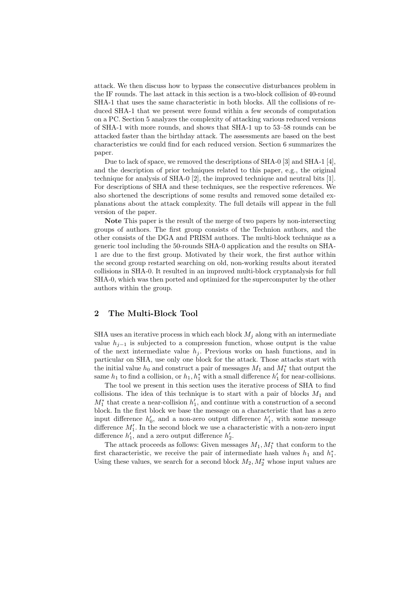attack. We then discuss how to bypass the consecutive disturbances problem in the IF rounds. The last attack in this section is a two-block collision of 40-round SHA-1 that uses the same characteristic in both blocks. All the collisions of reduced SHA-1 that we present were found within a few seconds of computation on a PC. Section 5 analyzes the complexity of attacking various reduced versions of SHA-1 with more rounds, and shows that SHA-1 up to 53–58 rounds can be attacked faster than the birthday attack. The assessments are based on the best characteristics we could find for each reduced version. Section 6 summarizes the paper.

Due to lack of space, we removed the descriptions of SHA-0 [3] and SHA-1 [4], and the description of prior techniques related to this paper, e.g., the original technique for analysis of SHA-0 [2], the improved technique and neutral bits [1]. For descriptions of SHA and these techniques, see the respective references. We also shortened the descriptions of some results and removed some detailed explanations about the attack complexity. The full details will appear in the full version of the paper.

Note This paper is the result of the merge of two papers by non-intersecting groups of authors. The first group consists of the Technion authors, and the other consists of the DGA and PRISM authors. The multi-block technique as a generic tool including the 50-rounds SHA-0 application and the results on SHA-1 are due to the first group. Motivated by their work, the first author within the second group restarted searching on old, non-working results about iterated collisions in SHA-0. It resulted in an improved multi-block cryptanalysis for full SHA-0, which was then ported and optimized for the supercomputer by the other authors within the group.

### 2 The Multi-Block Tool

SHA uses an iterative process in which each block  $M_i$  along with an intermediate value  $h_{i-1}$  is subjected to a compression function, whose output is the value of the next intermediate value  $h_j$ . Previous works on hash functions, and in particular on SHA, use only one block for the attack. Those attacks start with the initial value  $h_0$  and construct a pair of messages  $M_1$  and  $M_1^*$  that output the same  $h_1$  to find a collision, or  $h_1, h_1^*$  with a small difference  $h'_1$  for near-collisions.

The tool we present in this section uses the iterative process of SHA to find collisions. The idea of this technique is to start with a pair of blocks  $M_1$  and  $M_1^*$  that create a near-collision  $h'_1$ , and continue with a construction of a second block. In the first block we base the message on a characteristic that has a zero input difference  $h'_0$ , and a non-zero output difference  $h'_1$ , with some message difference  $M'_1$ . In the second block we use a characteristic with a non-zero input difference  $h'_1$ , and a zero output difference  $h'_2$ .

The attack proceeds as follows: Given messages  $M_1, M_1^*$  that conform to the first characteristic, we receive the pair of intermediate hash values  $h_1$  and  $h_1^*$ . Using these values, we search for a second block  $M_2, M_2^*$  whose input values are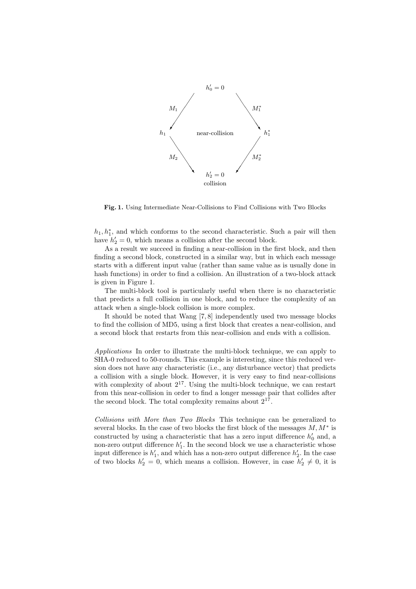

Fig. 1. Using Intermediate Near-Collisions to Find Collisions with Two Blocks

 $h_1, h_1^*$ , and which conforms to the second characteristic. Such a pair will then have  $h'_2 = 0$ , which means a collision after the second block.

As a result we succeed in finding a near-collision in the first block, and then finding a second block, constructed in a similar way, but in which each message starts with a different input value (rather than same value as is usually done in hash functions) in order to find a collision. An illustration of a two-block attack is given in Figure 1.

The multi-block tool is particularly useful when there is no characteristic that predicts a full collision in one block, and to reduce the complexity of an attack when a single-block collision is more complex.

It should be noted that Wang [7, 8] independently used two message blocks to find the collision of MD5, using a first block that creates a near-collision, and a second block that restarts from this near-collision and ends with a collision.

Applications In order to illustrate the multi-block technique, we can apply to SHA-0 reduced to 50-rounds. This example is interesting, since this reduced version does not have any characteristic (i.e., any disturbance vector) that predicts a collision with a single block. However, it is very easy to find near-collisions with complexity of about  $2^{17}$ . Using the multi-block technique, we can restart from this near-collision in order to find a longer message pair that collides after the second block. The total complexity remains about  $2^{17}$ .

Collisions with More than Two Blocks This technique can be generalized to several blocks. In the case of two blocks the first block of the messages  $M, M^*$  is constructed by using a characteristic that has a zero input difference  $h'_0$  and, a non-zero output difference  $h'_1$ . In the second block we use a characteristic whose input difference is  $h'_1$ , and which has a non-zero output difference  $h'_2$ . In the case of two blocks  $h'_2 = 0$ , which means a collision. However, in case  $h'_2 \neq 0$ , it is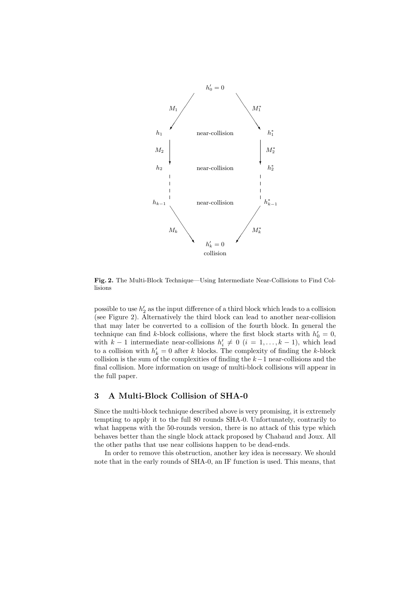

Fig. 2. The Multi-Block Technique—Using Intermediate Near-Collisions to Find Collisions

possible to use  $h'_2$  as the input difference of a third block which leads to a collision (see Figure 2). Alternatively the third block can lead to another near-collision that may later be converted to a collision of the fourth block. In general the technique can find k-block collisions, where the first block starts with  $h'_0 = 0$ , with  $k-1$  intermediate near-collisions  $h'_i \neq 0$   $(i = 1, ..., k-1)$ , which lead to a collision with  $h'_k = 0$  after k blocks. The complexity of finding the k-block collision is the sum of the complexities of finding the  $k-1$  near-collisions and the final collision. More information on usage of multi-block collisions will appear in the full paper.

## 3 A Multi-Block Collision of SHA-0

Since the multi-block technique described above is very promising, it is extremely tempting to apply it to the full 80 rounds SHA-0. Unfortunately, contrarily to what happens with the 50-rounds version, there is no attack of this type which behaves better than the single block attack proposed by Chabaud and Joux. All the other paths that use near collisions happen to be dead-ends.

In order to remove this obstruction, another key idea is necessary. We should note that in the early rounds of SHA-0, an IF function is used. This means, that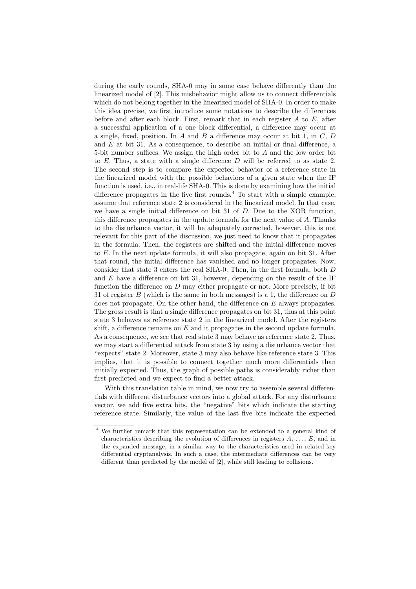during the early rounds, SHA-0 may in some case behave differently than the linearized model of [2]. This misbehavior might allow us to connect differentials which do not belong together in the linearized model of SHA-0. In order to make this idea precise, we first introduce some notations to describe the differences before and after each block. First, remark that in each register  $A$  to  $E$ , after a successful application of a one block differential, a difference may occur at a single, fixed, position. In  $A$  and  $B$  a difference may occur at bit 1, in  $C, D$ and  $E$  at bit 31. As a consequence, to describe an initial or final difference, a 5-bit number suffices. We assign the high order bit to A and the low order bit to  $E$ . Thus, a state with a single difference  $D$  will be referred to as state 2. The second step is to compare the expected behavior of a reference state in the linearized model with the possible behaviors of a given state when the IF function is used, i.e., in real-life SHA-0. This is done by examining how the initial difference propagates in the five first rounds.<sup>4</sup> To start with a simple example, assume that reference state 2 is considered in the linearized model. In that case, we have a single initial difference on bit 31 of  $D$ . Due to the XOR function, this difference propagates in the update formula for the next value of A. Thanks to the disturbance vector, it will be adequately corrected, however, this is not relevant for this part of the discussion, we just need to know that it propagates in the formula. Then, the registers are shifted and the initial difference moves to E. In the next update formula, it will also propagate, again on bit 31. After that round, the initial difference has vanished and no longer propagates. Now, consider that state 3 enters the real SHA-0. Then, in the first formula, both D and E have a difference on bit 31, however, depending on the result of the IF function the difference on  $D$  may either propagate or not. More precisely, if bit 31 of register  $B$  (which is the same in both messages) is a 1, the difference on  $D$ does not propagate. On the other hand, the difference on  $E$  always propagates. The gross result is that a single difference propagates on bit 31, thus at this point state 3 behaves as reference state 2 in the linearized model. After the registers shift, a difference remains on  $E$  and it propagates in the second update formula. As a consequence, we see that real state 3 may behave as reference state 2. Thus, we may start a differential attack from state 3 by using a disturbance vector that "expects" state 2. Moreover, state 3 may also behave like reference state 3. This implies, that it is possible to connect together much more differentials than initially expected. Thus, the graph of possible paths is considerably richer than first predicted and we expect to find a better attack.

With this translation table in mind, we now try to assemble several differentials with different disturbance vectors into a global attack. For any disturbance vector, we add five extra bits, the "negative" bits which indicate the starting reference state. Similarly, the value of the last five bits indicate the expected

<sup>4</sup> We further remark that this representation can be extended to a general kind of characteristics describing the evolution of differences in registers  $A, \ldots, E$ , and in the expanded message, in a similar way to the characteristics used in related-key differential cryptanalysis. In such a case, the intermediate differences can be very different than predicted by the model of [2], while still leading to collisions.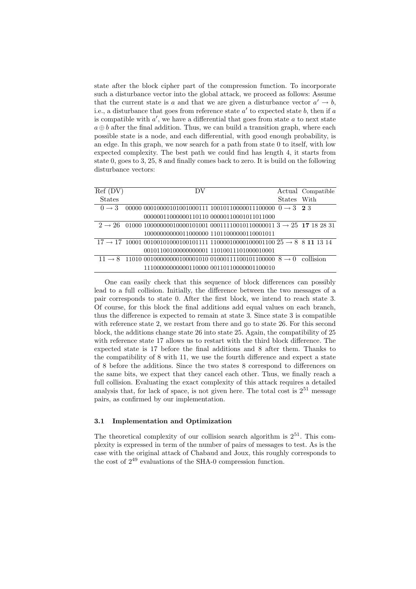state after the block cipher part of the compression function. To incorporate such a disturbance vector into the global attack, we proceed as follows: Assume that the current state is a and that we are given a disturbance vector  $a' \rightarrow b$ , i.e., a disturbance that goes from reference state  $a'$  to expected state b, then if  $a$ is compatible with  $a'$ , we have a differential that goes from state  $a$  to next state  $a \oplus b$  after the final addition. Thus, we can build a transition graph, where each possible state is a node, and each differential, with good enough probability, is an edge. In this graph, we now search for a path from state 0 to itself, with low expected complexity. The best path we could find has length 4, it starts from state 0, goes to 3, 25, 8 and finally comes back to zero. It is build on the following disturbance vectors:

| Ref(DV)       | DV                                                                                                | Actual Compatible |
|---------------|---------------------------------------------------------------------------------------------------|-------------------|
| <b>States</b> |                                                                                                   | States With       |
|               | $0 \rightarrow 3$ 00000 00010000101001000111 10010110000011100000 $0 \rightarrow 3$ 2 3           |                   |
|               | 00000011000000110110 00000110001011011000                                                         |                   |
|               | $2 \rightarrow 26$ 01000 10000000010000101001 00011110010110000011 $3 \rightarrow 25$ 17 18 28 31 |                   |
|               | 10000000000011000000 11011000000110001011                                                         |                   |
|               | $17 \rightarrow 17$ 10001 00100101000100101111 11000010000100001100 25 $\rightarrow$ 8 8 11 13 14 |                   |
|               | 00101100100000000001 11010011101000010001                                                         |                   |
|               | $11 \rightarrow 8$ 11010 00100000000100001010 01000111100101100000 $8 \rightarrow 0$ collision    |                   |
|               | 11100000000000110000 00110110000001100010                                                         |                   |

One can easily check that this sequence of block differences can possibly lead to a full collision. Initially, the difference between the two messages of a pair corresponds to state 0. After the first block, we intend to reach state 3. Of course, for this block the final additions add equal values on each branch, thus the difference is expected to remain at state 3. Since state 3 is compatible with reference state 2, we restart from there and go to state 26. For this second block, the additions change state 26 into state 25. Again, the compatibility of 25 with reference state 17 allows us to restart with the third block difference. The expected state is 17 before the final additions and 8 after them. Thanks to the compatibility of 8 with 11, we use the fourth difference and expect a state of 8 before the additions. Since the two states 8 correspond to differences on the same bits, we expect that they cancel each other. Thus, we finally reach a full collision. Evaluating the exact complexity of this attack requires a detailed analysis that, for lack of space, is not given here. The total cost is  $2^{51}$  message pairs, as confirmed by our implementation.

#### 3.1 Implementation and Optimization

The theoretical complexity of our collision search algorithm is  $2^{51}$ . This complexity is expressed in term of the number of pairs of messages to test. As is the case with the original attack of Chabaud and Joux, this roughly corresponds to the cost of 2 <sup>49</sup> evaluations of the SHA-0 compression function.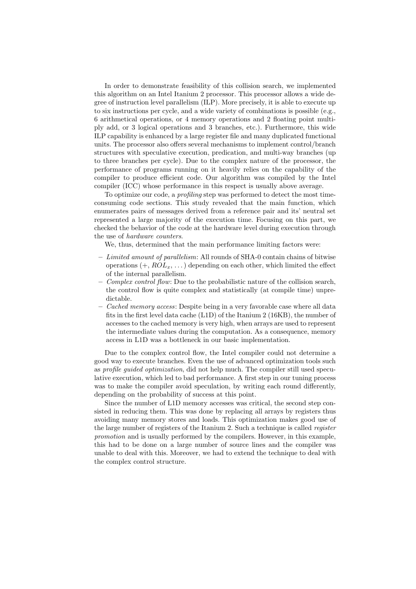In order to demonstrate feasibility of this collision search, we implemented this algorithm on an Intel Itanium 2 processor. This processor allows a wide degree of instruction level parallelism (ILP). More precisely, it is able to execute up to six instructions per cycle, and a wide variety of combinations is possible (e.g., 6 arithmetical operations, or 4 memory operations and 2 floating point multiply add, or 3 logical operations and 3 branches, etc.). Furthermore, this wide ILP capability is enhanced by a large register file and many duplicated functional units. The processor also offers several mechanisms to implement control/branch structures with speculative execution, predication, and multi-way branches (up to three branches per cycle). Due to the complex nature of the processor, the performance of programs running on it heavily relies on the capability of the compiler to produce efficient code. Our algorithm was compiled by the Intel compiler (ICC) whose performance in this respect is usually above average.

To optimize our code, a profiling step was performed to detect the most timeconsuming code sections. This study revealed that the main function, which enumerates pairs of messages derived from a reference pair and its' neutral set represented a large majority of the execution time. Focusing on this part, we checked the behavior of the code at the hardware level during execution through the use of hardware counters.

We, thus, determined that the main performance limiting factors were:

- $-$  Limited amount of parallelism: All rounds of SHA-0 contain chains of bitwise operations  $(+, ROL<sub>x</sub>, ...)$  depending on each other, which limited the effect of the internal parallelism.
- Complex control flow: Due to the probabilistic nature of the collision search, the control flow is quite complex and statistically (at compile time) unpredictable.
- Cached memory access: Despite being in a very favorable case where all data fits in the first level data cache (L1D) of the Itanium 2 (16KB), the number of accesses to the cached memory is very high, when arrays are used to represent the intermediate values during the computation. As a consequence, memory access in L1D was a bottleneck in our basic implementation.

Due to the complex control flow, the Intel compiler could not determine a good way to execute branches. Even the use of advanced optimization tools such as profile guided optimization, did not help much. The compiler still used speculative execution, which led to bad performance. A first step in our tuning process was to make the compiler avoid speculation, by writing each round differently, depending on the probability of success at this point.

Since the number of L1D memory accesses was critical, the second step consisted in reducing them. This was done by replacing all arrays by registers thus avoiding many memory stores and loads. This optimization makes good use of the large number of registers of the Itanium 2. Such a technique is called *register* promotion and is usually performed by the compilers. However, in this example, this had to be done on a large number of source lines and the compiler was unable to deal with this. Moreover, we had to extend the technique to deal with the complex control structure.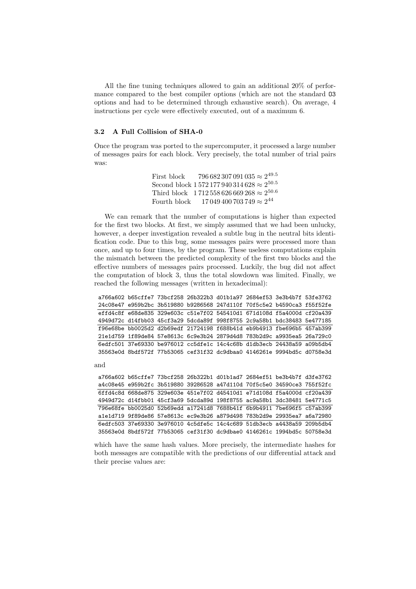All the fine tuning techniques allowed to gain an additional 20% of performance compared to the best compiler options (which are not the standard O3 options and had to be determined through exhaustive search). On average, 4 instructions per cycle were effectively executed, out of a maximum 6.

#### 3.2 A Full Collision of SHA-0

Once the program was ported to the supercomputer, it processed a large number of messages pairs for each block. Very precisely, the total number of trial pairs was:

| First block-                                               |  |  |                                         | 796 682 307 091 035 $\approx 2^{49.5}$ |
|------------------------------------------------------------|--|--|-----------------------------------------|----------------------------------------|
| Second block $1\,572\,177\,940\,314\,628 \approx 2^{50.5}$ |  |  |                                         |                                        |
| Third block 1712 558 626 669 268 $\approx 2^{50.6}$        |  |  |                                         |                                        |
| Fourth block-                                              |  |  | $17\,049\,400\,703\,749 \approx 2^{44}$ |                                        |

We can remark that the number of computations is higher than expected for the first two blocks. At first, we simply assumed that we had been unlucky, however, a deeper investigation revealed a subtle bug in the neutral bits identification code. Due to this bug, some messages pairs were processed more than once, and up to four times, by the program. These useless computations explain the mismatch between the predicted complexity of the first two blocks and the effective numbers of messages pairs processed. Luckily, the bug did not affect the computation of block 3, thus the total slowdown was limited. Finally, we reached the following messages (written in hexadecimal):

|  | a766a602 b65cffe7 73bcf258 26b322b3 d01b1a97 2684ef53 3e3b4b7f 53fe3762 |  |  |  |
|--|-------------------------------------------------------------------------|--|--|--|
|  | 24c08e47 e959b2bc 3b519880 b9286568 247d110f 70f5c5e2 b4590ca3 f55f52fe |  |  |  |
|  | effd4c8f e68de835 329e603c c51e7f02 545410d1 671d108d f5a4000d cf20a439 |  |  |  |
|  | 4949d72c d14fbb03 45cf3a29 5dcda89f 998f8755 2c9a58b1 bdc38483 5e477185 |  |  |  |
|  | f96e68be bb0025d2 d2b69edf 21724198 f688b41d eb9b4913 fbe696b5 457ab399 |  |  |  |
|  | 21e1d759 1f89de84 57e8613c 6c9e3b24 2879d4d8 783b2d9c a9935ea5 26a729c0 |  |  |  |
|  | 6edfc501 37e69330 be976012 cc5dfe1c 14c4c68b d1db3ecb 24438a59 a09b5db4 |  |  |  |
|  | 35563e0d 8bdf572f 77b53065 cef31f32 dc9dbaa0 4146261e 9994bd5c d0758e3d |  |  |  |
|  |                                                                         |  |  |  |

and

|  | a766a602 b65cffe7 73bcf258 26b322b1 d01b1ad7 2684ef51 be3b4b7f d3fe3762 |  |  |  |
|--|-------------------------------------------------------------------------|--|--|--|
|  | a4c08e45 e959b2fc 3b519880 39286528 a47d110d 70f5c5e0 34590ce3 755f52fc |  |  |  |
|  | 6ffd4c8d 668de875 329e603e 451e7f02 d45410d1 e71d108d f5a4000d cf20a439 |  |  |  |
|  | 4949d72c d14fbb01 45cf3a69 5dcda89d 198f8755 ac9a58b1 3dc38481 5e4771c5 |  |  |  |
|  | 796e68fe bb0025d0 52b69edd a17241d8 7688b41f 6b9b4911 7be696f5 c57ab399 |  |  |  |
|  | a1e1d719 9f89de86 57e8613c ec9e3b26 a879d498 783b2d9e 29935ea7 a6a72980 |  |  |  |
|  | 6edfc503 37e69330 3e976010 4c5dfe5c 14c4c689 51db3ecb a4438a59 209b5db4 |  |  |  |
|  | 35563e0d 8bdf572f 77b53065 cef31f30 dc9dbae0 4146261c 1994bd5c 50758e3d |  |  |  |

which have the same hash values. More precisely, the intermediate hashes for both messages are compatible with the predictions of our differential attack and their precise values are: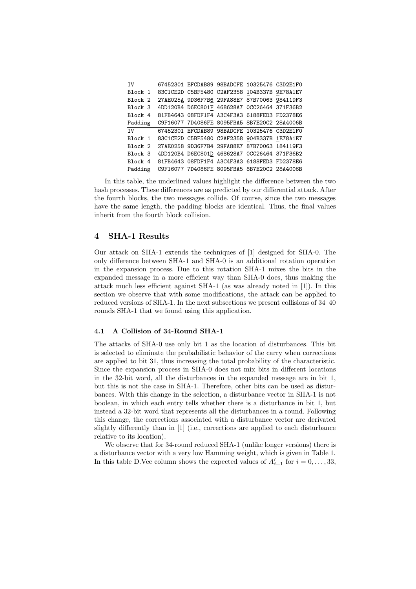| IV <sub>1</sub> |  | 67452301 EFCDAB89 98BADCFE 10325476 C3D2E1F0 |  |
|-----------------|--|----------------------------------------------|--|
| Block 1         |  | 83C1CE2D C5BF5480 C2AF2358 104B337B 9E78A1E7 |  |
| Block 2         |  | 27AE025A 9D36F7B6 29FA88E7 87B70063 984119F3 |  |
| Block 3         |  | 4DD120B4 D6EC801F 468628A7 0CC26464 371F36B2 |  |
| Block 4         |  | 81FB4643 08FDF1F4 A3C4F3A3 6188FED3 FD2378E6 |  |
| Padding         |  | C9F16077 7D4086FE 8095FBA5 8B7E20C2 28A4006B |  |
| TV 7            |  | 67452301 EFCDAB89 98BADCFE 10325476 C3D2E1F0 |  |
| Block 1         |  | 83C1CE2D C5BF5480 C2AF2358 904B337B 1E78A1E7 |  |
| Block 2         |  | 27AE0258 9D36F7B4 29FA88E7 87B70063 184119F3 |  |
| Block 3         |  | 4DD120B4 D6EC801D 468628A7 0CC26464 371F36B2 |  |
| Block 4         |  | 81FB4643 08FDF1F4 A3C4F3A3 6188FED3 FD2378E6 |  |
| Padding         |  | C9F16077 7D4086FE 8095FBA5 8B7E20C2 28A4006B |  |

In this table, the underlined values highlight the difference between the two hash processes. These differences are as predicted by our differential attack. After the fourth blocks, the two messages collide. Of course, since the two messages have the same length, the padding blocks are identical. Thus, the final values inherit from the fourth block collision.

### 4 SHA-1 Results

Our attack on SHA-1 extends the techniques of [1] designed for SHA-0. The only difference between SHA-1 and SHA-0 is an additional rotation operation in the expansion process. Due to this rotation SHA-1 mixes the bits in the expanded message in a more efficient way than SHA-0 does, thus making the attack much less efficient against SHA-1 (as was already noted in [1]). In this section we observe that with some modifications, the attack can be applied to reduced versions of SHA-1. In the next subsections we present collisions of 34–40 rounds SHA-1 that we found using this application.

#### 4.1 A Collision of 34-Round SHA-1

The attacks of SHA-0 use only bit 1 as the location of disturbances. This bit is selected to eliminate the probabilistic behavior of the carry when corrections are applied to bit 31, thus increasing the total probability of the characteristic. Since the expansion process in SHA-0 does not mix bits in different locations in the 32-bit word, all the disturbances in the expanded message are in bit 1, but this is not the case in SHA-1. Therefore, other bits can be used as disturbances. With this change in the selection, a disturbance vector in SHA-1 is not boolean, in which each entry tells whether there is a disturbance in bit 1, but instead a 32-bit word that represents all the disturbances in a round. Following this change, the corrections associated with a disturbance vector are derivated slightly differently than in [1] (i.e., corrections are applied to each disturbance relative to its location).

We observe that for 34-round reduced SHA-1 (unlike longer versions) there is a disturbance vector with a very low Hamming weight, which is given in Table 1. In this table D.Vec column shows the expected values of  $A'_{i+1}$  for  $i = 0, \ldots, 33$ ,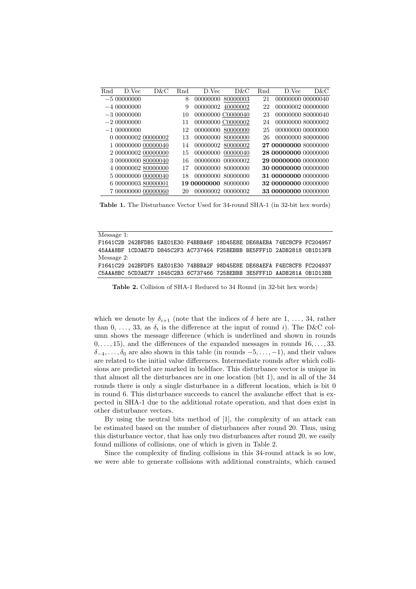| Rnd | D.Vec               | D&C | Rnd | D.Vec             | D&C               | Rnd | D.Vec                | D&C |
|-----|---------------------|-----|-----|-------------------|-------------------|-----|----------------------|-----|
|     | $-500000000$        |     | 8   | 00000000          | 80000003          | 21  | 00000000 00000040    |     |
|     | $-400000000$        |     | 9   | 00000002          | 40000002          | 22  | 00000002 00000000    |     |
|     | $-300000000$        |     | 10  |                   | 00000000 C0000040 | 23  | 00000000 80000040    |     |
|     | $-200000000$        |     | 11  |                   | 00000000 C0000002 | 24  | 00000000 80000002    |     |
|     | $-100000000$        |     | 12  | 00000000 80000000 |                   | 25  | 00000000 00000000    |     |
|     | 0 00000002 00000002 |     | 13  | 00000000          | 80000000          | 26  | 00000000 80000000    |     |
|     | 1 00000000 00000040 |     | 14  |                   | 00000002 80000002 |     | 27 00000000 80000000 |     |
|     | 2 00000002 00000000 |     | 15  | 00000000 00000040 |                   |     | 28 00000000 00000000 |     |
|     | 3 00000000 80000040 |     | 16  | 00000000 00000002 |                   |     | 29 00000000 00000000 |     |
|     | 4 00000002 80000000 |     | 17  | 00000000 80000000 |                   |     | 30 00000000 00000000 |     |
|     | 5 00000000 00000040 |     | 18  | 00000000          | 80000000          |     | 31 00000000 00000000 |     |
|     | 6 00000003 80000001 |     |     | 19 00000000       | -80000000         |     | 32 00000000 00000000 |     |
|     | 7 00000000 00000060 |     | 20  |                   | 00000002 00000002 |     | 33 00000000 00000000 |     |
|     |                     |     |     |                   |                   |     |                      |     |

Table 1. The Disturbance Vector Used for 34-round SHA-1 (in 32-bit hex words)

| Message 1: |                                                                         |  |  |  |
|------------|-------------------------------------------------------------------------|--|--|--|
|            | F1641C2B 242BFDB5 EAE01E30 F4BBBA6F 18D45E8E DE68AEBA 74EC8CF9 FC204957 |  |  |  |
|            | 45AAA8BF 1CD3AE7D D845C2F3 AC737464 F25BEBBB BE5FFF1D 2ADB2818 0B1D13FB |  |  |  |
| Message 2: |                                                                         |  |  |  |
|            | F1641C29 242BFDF5 EAE01E30 74BBBA2F 98D45E8E DE68AEFA F4EC8CF8 FC204937 |  |  |  |
|            | C5AAA8BC 5CD3AE7F 1845C2B3 6C737466 725BEBBB 3E5FFF1D AADB281A 0B1D13BB |  |  |  |

Table 2. Collision of SHA-1 Reduced to 34 Round (in 32-bit hex words)

which we denote by  $\delta_{i+1}$  (note that the indices of  $\delta$  here are 1, ..., 34, rather than  $0, \ldots, 33$ , as  $\delta_i$  is the difference at the input of round i). The D&C column shows the message difference (which is underlined and shown in rounds  $(0, \ldots, 15)$ , and the differences of the expanded messages in rounds  $16, \ldots, 33$ .  $\delta_{-4}, \ldots, \delta_0$  are also shown in this table (in rounds  $-5, \ldots, -1$ ), and their values are related to the initial value differences. Intermediate rounds after which collisions are predicted are marked in boldface. This disturbance vector is unique in that almost all the disturbances are in one location (bit 1), and in all of the 34 rounds there is only a single disturbance in a different location, which is bit 0 in round 6. This disturbance succeeds to cancel the avalanche effect that is expected in SHA-1 due to the additional rotate operation, and that does exist in other disturbance vectors.

By using the neutral bits method of [1], the complexity of an attack can be estimated based on the number of disturbances after round 20. Thus, using this disturbance vector, that has only two disturbances after round 20, we easily found millions of collisions, one of which is given in Table 2.

Since the complexity of finding collisions in this 34-round attack is so low, we were able to generate collisions with additional constraints, which caused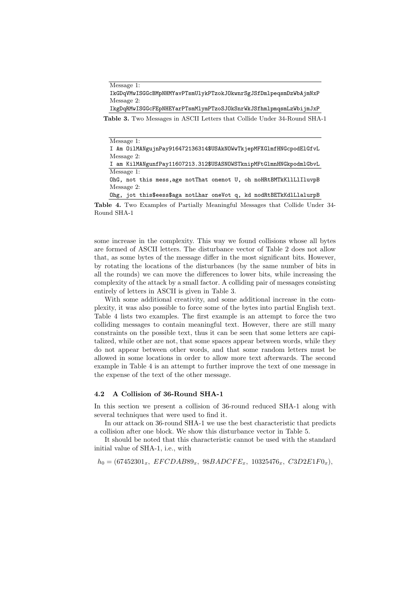| Message 1:                                                       |
|------------------------------------------------------------------|
| IkGDqVMwISGGcBMpNHMYavPTsmUlykPTzokJOkwnrSgJSfDmlpeqsmDzWbAjmNxP |
| Message 2:                                                       |
| IkgDqRMwISGGcFEpNHEYarPTsmM1ymPTzoSJ0kSnrWkJSfhm1pmqsmLzWbijmJxP |

Table 3. Two Messages in ASCII Letters that Collide Under 34-Round SHA-1

| Message 1:                                                                                                                                                                                                  |
|-------------------------------------------------------------------------------------------------------------------------------------------------------------------------------------------------------------|
| I Am OilMANgujnPay916472136314\$USAkNOWwTkjepMFXGlmfHNGcpodElGfvL                                                                                                                                           |
| Message 2:                                                                                                                                                                                                  |
| I am KilMANgunfPay11607213.312\$USASNOWSTknipMFtGlmnHNGkpodmlGbvL                                                                                                                                           |
| Message 1:                                                                                                                                                                                                  |
| OhG, not this mess, age notThat onenot U, oh noHRtBMTkK11L1I1uvpB                                                                                                                                           |
| Message 2:                                                                                                                                                                                                  |
| Ohg, jot this\$eess\$aga notLhar oneVot q, kd nodRtBETkKdlLlalurpB                                                                                                                                          |
| $\blacksquare$ . The $\blacksquare$ . The $\blacksquare$ . The $\blacksquare$ . The $\blacksquare$ . The $\blacksquare$ . The $\blacksquare$ . The $\blacksquare$ . The $\blacksquare$ . The $\blacksquare$ |

Table 4. Two Examples of Partially Meaningful Messages that Collide Under 34- Round SHA-1

some increase in the complexity. This way we found collisions whose all bytes are formed of ASCII letters. The disturbance vector of Table 2 does not allow that, as some bytes of the message differ in the most significant bits. However, by rotating the locations of the disturbances (by the same number of bits in all the rounds) we can move the differences to lower bits, while increasing the complexity of the attack by a small factor. A colliding pair of messages consisting entirely of letters in ASCII is given in Table 3.

With some additional creativity, and some additional increase in the complexity, it was also possible to force some of the bytes into partial English text. Table 4 lists two examples. The first example is an attempt to force the two colliding messages to contain meaningful text. However, there are still many constraints on the possible text, thus it can be seen that some letters are capitalized, while other are not, that some spaces appear between words, while they do not appear between other words, and that some random letters must be allowed in some locations in order to allow more text afterwards. The second example in Table 4 is an attempt to further improve the text of one message in the expense of the text of the other message.

#### 4.2 A Collision of 36-Round SHA-1

In this section we present a collision of 36-round reduced SHA-1 along with several techniques that were used to find it.

In our attack on 36-round SHA-1 we use the best characteristic that predicts a collision after one block. We show this disturbance vector in Table 5.

It should be noted that this characteristic cannot be used with the standard initial value of SHA-1, i.e., with

$$
h_0 = (67452301_x, EFCDAB89_x, 98BADCFE_x, 10325476_x, C3D2E1F0_x),
$$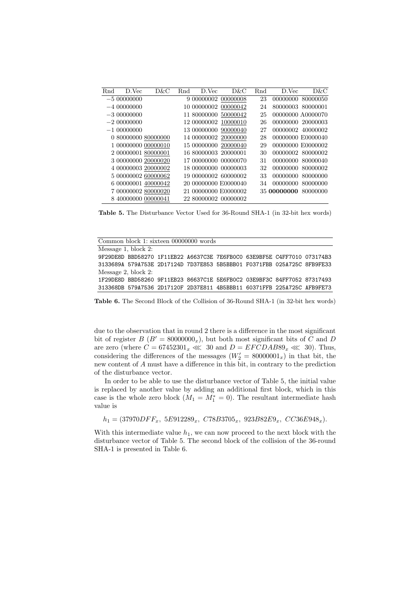| Rnd | D.Vec               | D&C | Rnd | D.Vec                | D&C | Rnd | D.Vec                | D&C               |
|-----|---------------------|-----|-----|----------------------|-----|-----|----------------------|-------------------|
|     | $-500000000$        |     |     | 9 00000002 00000008  |     | 23  |                      | 00000000 80000050 |
|     | $-400000000$        |     |     | 10 00000002 00000042 |     | 24  | 80000003 80000001    |                   |
|     | $-300000000$        |     |     | 11 80000000 50000042 |     | 25  | 00000000 A0000070    |                   |
|     | $-200000000$        |     |     | 12 00000002 10000010 |     | 26  |                      | 00000000 20000003 |
|     | $-100000000$        |     |     | 13 00000000 90000040 |     | 27  | 00000002 40000002    |                   |
|     | 0 80000000 80000000 |     |     | 14 00000002 20000000 |     | 28  |                      | 00000000 E0000040 |
|     | 1 00000000 00000010 |     |     | 15 00000000 20000040 |     | 29  |                      | 00000000 E0000002 |
|     | 2 00000001 80000001 |     |     | 16 80000003 20000001 |     | 30  |                      | 00000002 80000002 |
|     | 3 00000000 20000020 |     |     | 17 00000000 00000070 |     | 31  | 00000000 80000040    |                   |
|     | 4 00000003 20000002 |     |     | 18 00000000 00000003 |     | 32  | 00000000 80000002    |                   |
|     | 5 00000002 60000062 |     |     | 19 00000002 60000002 |     | 33  | 00000000 80000000    |                   |
|     | 6 00000001 40000042 |     |     | 20 00000000 E0000040 |     | 34  | 00000000 80000000    |                   |
|     | 7 00000002 80000020 |     |     | 21 00000000 E0000002 |     |     | 35 00000000 80000000 |                   |
|     | 8 40000000 00000041 |     |     | 22 80000002 00000002 |     |     |                      |                   |
|     |                     |     |     |                      |     |     |                      |                   |

Table 5. The Disturbance Vector Used for 36-Round SHA-1 (in 32-bit hex words)

|                     | Common block 1: sixteen 000000000 words                                 |  |  |  |  |  |  |  |  |
|---------------------|-------------------------------------------------------------------------|--|--|--|--|--|--|--|--|
| Message 1, block 2: |                                                                         |  |  |  |  |  |  |  |  |
|                     | 9F29DE8D BBD58270 1F11EB22 A6637C3E 7E6FB0C0 63E9BF5E C4FF7010 073174B3 |  |  |  |  |  |  |  |  |
|                     | 3133689A 579A753E 2D17124D 7D37E853 5B5BBB01 F0371FBB 025A725C 8FB9FE33 |  |  |  |  |  |  |  |  |
| Message 2, block 2: |                                                                         |  |  |  |  |  |  |  |  |
|                     | 1F29DE8D BBD58260 9F11EB23 86637C1E 5E6FB0C2 03E9BF3C 84FF7052 87317493 |  |  |  |  |  |  |  |  |
|                     | 313368DB 579A7536 2D17120F 2D37E811 4B5BBB11 60371FFB 225A725C AFB9FE73 |  |  |  |  |  |  |  |  |

Table 6. The Second Block of the Collision of 36-Round SHA-1 (in 32-bit hex words)

due to the observation that in round 2 there is a difference in the most significant bit of register  $B(B' = 80000000<sub>x</sub>)$ , but both most significant bits of C and D are zero (where  $C = 67452301_x \ll 30$  and  $D = EFCDAB89_x \ll 30$ ). Thus, considering the differences of the messages  $(W_2' = 80000001_x)$  in that bit, the new content of A must have a difference in this bit, in contrary to the prediction of the disturbance vector.

In order to be able to use the disturbance vector of Table 5, the initial value is replaced by another value by adding an additional first block, which in this case is the whole zero block  $(M_1 = M_1^* = 0)$ . The resultant intermediate hash value is

 $h_1 = (37970DFF_x, 5E912289_x, C78B3705_x, 923B82E9_x, CC36E948_x).$ 

With this intermediate value  $h_1$ , we can now proceed to the next block with the disturbance vector of Table 5. The second block of the collision of the 36-round SHA-1 is presented in Table 6.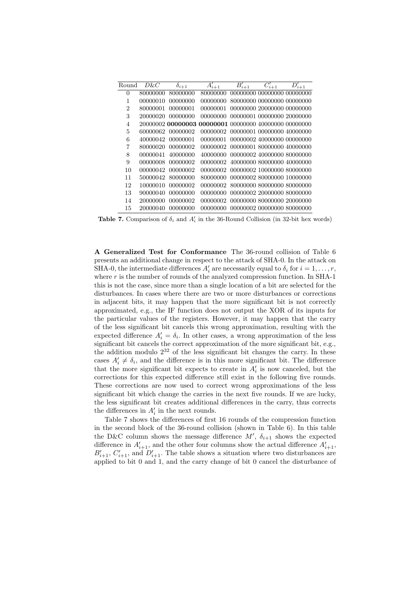| Round | $D\&C$   | $\delta_{i+1}$    | $\overline{A}_{i+1}'$               | $\bar{B}_{i\pm 1}'$ | $\bar{C}'_{i+1}$            | $D_{i+1}^\prime$ |
|-------|----------|-------------------|-------------------------------------|---------------------|-----------------------------|------------------|
| 0     | 80000000 | 80000000          | 80000000                            |                     | .00000000 00000000 00000000 |                  |
| 1     | 00000010 | 00000000          | 00000000                            |                     | 80000000 00000000 00000000  |                  |
| 2     | 80000001 | 00000001          | 00000001                            |                     | 00000000 20000000 00000000  |                  |
| 3     | 20000020 | 00000000          | 00000000                            |                     | 00000001_00000000_20000000  |                  |
| 4     |          | 20000002 00000003 | 00000001 00000000 40000000 00000000 |                     |                             |                  |
| 5     |          | 60000062 00000002 | 00000002 00000001 00000000 40000000 |                     |                             |                  |
| 6     |          | 40000042 00000001 | 00000001                            |                     | 00000002 40000000 00000000  |                  |
| 7     | 80000020 | 00000002          | 00000002                            |                     | 00000001 80000000 40000000  |                  |
| 8     | 00000041 | 40000000          | 40000000                            |                     | 00000002 40000000 80000000  |                  |
| 9     | 00000008 | 00000002          | 00000002                            |                     | 40000000 80000000 40000000  |                  |
| 10    |          | 00000042 00000002 | 00000002                            |                     | 00000002 10000000 80000000  |                  |
| 11    |          | 50000042 80000000 | 80000000                            |                     | 00000002 80000000 10000000  |                  |
| 12    | 10000010 | 00000002          | 00000002                            |                     | 80000000 80000000 80000000  |                  |
| 13    | 90000040 | 00000000          | 00000000                            |                     | 00000002 20000000 80000000  |                  |
| 14    | 20000000 | 00000002          | 00000002                            |                     | 00000000 80000000 20000000  |                  |
| 15    | 20000040 | 00000000          | 00000000                            |                     | 00000002 00000000 80000000  |                  |

Table 7. Comparison of  $\delta_i$  and  $A'_i$  in the 36-Round Collision (in 32-bit hex words)

A Generalized Test for Conformance The 36-round collision of Table 6 presents an additional change in respect to the attack of SHA-0. In the attack on SHA-0, the intermediate differences  $A'_i$  are necessarily equal to  $\delta_i$  for  $i = 1, \ldots, r$ , where  $r$  is the number of rounds of the analyzed compression function. In SHA-1 this is not the case, since more than a single location of a bit are selected for the disturbances. In cases where there are two or more disturbances or corrections in adjacent bits, it may happen that the more significant bit is not correctly approximated, e.g., the IF function does not output the XOR of its inputs for the particular values of the registers. However, it may happen that the carry of the less significant bit cancels this wrong approximation, resulting with the expected difference  $A'_i = \delta_i$ . In other cases, a wrong approximation of the less significant bit cancels the correct approximation of the more significant bit, e.g., the addition modulo  $2^{32}$  of the less significant bit changes the carry. In these cases  $A'_i \neq \delta_i$ , and the difference is in this more significant bit. The difference that the more significant bit expects to create in  $A_i'$  is now canceled, but the corrections for this expected difference still exist in the following five rounds. These corrections are now used to correct wrong approximations of the less significant bit which change the carries in the next five rounds. If we are lucky, the less significant bit creates additional differences in the carry, thus corrects the differences in  $A_i'$  in the next rounds.

Table 7 shows the differences of first 16 rounds of the compression function in the second block of the 36-round collision (shown in Table 6). In this table the D&C column shows the message difference  $M'$ ,  $\delta_{i+1}$  shows the expected difference in  $A'_{i+1}$ , and the other four columns show the actual difference  $A'_{i+1}$ ,  $B'_{i+1}, C'_{i+1}$ , and  $D'_{i+1}$ . The table shows a situation where two disturbances are applied to bit 0 and 1, and the carry change of bit 0 cancel the disturbance of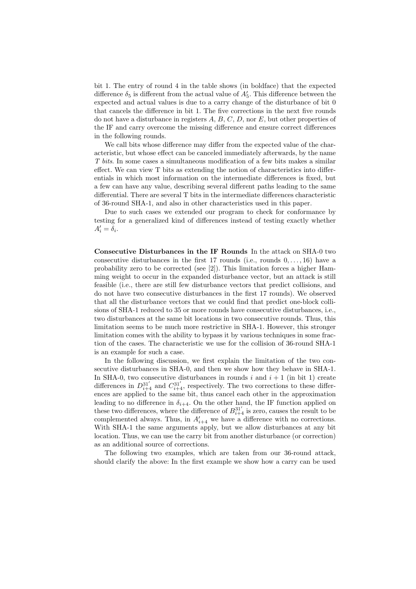bit 1. The entry of round 4 in the table shows (in boldface) that the expected difference  $\delta_5$  is different from the actual value of  $A'_5$ . This difference between the expected and actual values is due to a carry change of the disturbance of bit 0 that cancels the difference in bit 1. The five corrections in the next five rounds do not have a disturbance in registers  $A, B, C, D$ , nor E, but other properties of the IF and carry overcome the missing difference and ensure correct differences in the following rounds.

We call bits whose difference may differ from the expected value of the characteristic, but whose effect can be canceled immediately afterwards, by the name T bits. In some cases a simultaneous modification of a few bits makes a similar effect. We can view T bits as extending the notion of characteristics into differentials in which most information on the intermediate differences is fixed, but a few can have any value, describing several different paths leading to the same differential. There are several T bits in the intermediate differences characteristic of 36-round SHA-1, and also in other characteristics used in this paper.

Due to such cases we extended our program to check for conformance by testing for a generalized kind of differences instead of testing exactly whether  $A'_i = \breve{\delta}_i.$ 

Consecutive Disturbances in the IF Rounds In the attack on SHA-0 two consecutive disturbances in the first 17 rounds (i.e., rounds  $0, \ldots, 16$ ) have a probability zero to be corrected (see [2]). This limitation forces a higher Hamming weight to occur in the expanded disturbance vector, but an attack is still feasible (i.e., there are still few disturbance vectors that predict collisions, and do not have two consecutive disturbances in the first 17 rounds). We observed that all the disturbance vectors that we could find that predict one-block collisions of SHA-1 reduced to 35 or more rounds have consecutive disturbances, i.e., two disturbances at the same bit locations in two consecutive rounds. Thus, this limitation seems to be much more restrictive in SHA-1. However, this stronger limitation comes with the ability to bypass it by various techniques in some fraction of the cases. The characteristic we use for the collision of 36-round SHA-1 is an example for such a case.

In the following discussion, we first explain the limitation of the two consecutive disturbances in SHA-0, and then we show how they behave in SHA-1. In SHA-0, two consecutive disturbances in rounds i and  $i + 1$  (in bit 1) create differences in  $D_{i+4}^{31'}$  and  $C_{i+4}^{31'}$ , respectively. The two corrections to these differences are applied to the same bit, thus cancel each other in the approximation leading to no difference in  $\delta_{i+4}$ . On the other hand, the IF function applied on these two differences, where the difference of  $B_{i+4}^{31'}$  is zero, causes the result to be complemented always. Thus, in  $A'_{i+4}$  we have a difference with no corrections. With SHA-1 the same arguments apply, but we allow disturbances at any bit location. Thus, we can use the carry bit from another disturbance (or correction) as an additional source of corrections.

The following two examples, which are taken from our 36-round attack, should clarify the above: In the first example we show how a carry can be used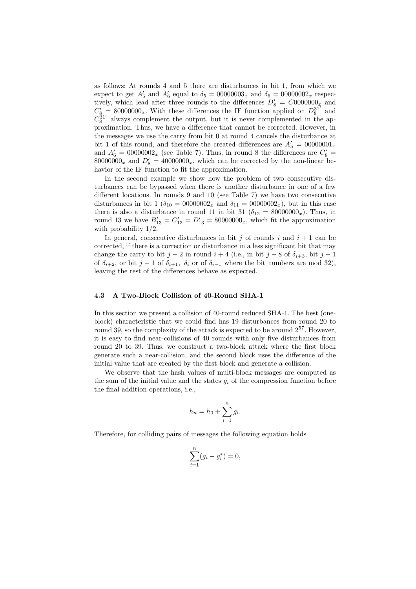as follows: At rounds 4 and 5 there are disturbances in bit 1, from which we expect to get  $A'_5$  and  $A'_6$  equal to  $\delta_5 = 00000003_x$  and  $\delta_6 = 00000002_x$  respectively, which lead after three rounds to the differences  $D_8' = C0000000_x$  and  $C'_8 = 80000000_x$ . With these differences the IF function applied on  $D_8^{31^7}$  and  $C_8^{31'}$  always complement the output, but it is never complemented in the approximation. Thus, we have a difference that cannot be corrected. However, in the messages we use the carry from bit 0 at round 4 cancels the disturbance at bit 1 of this round, and therefore the created differences are  $A'_5 = 00000001_x$ and  $A'_6 = 00000002_x$  (see Table 7). Thus, in round 8 the differences are  $C'_8 =$  $80000000_x$  and  $D'_8 = 40000000_x$ , which can be corrected by the non-linear behavior of the IF function to fit the approximation.

In the second example we show how the problem of two consecutive disturbances can be bypassed when there is another disturbance in one of a few different locations. In rounds 9 and 10 (see Table 7) we have two consecutive disturbances in bit 1 ( $\delta_{10} = 00000002_x$  and  $\delta_{11} = 00000002_x$ ), but in this case there is also a disturbance in round 11 in bit 31 ( $\delta_{12} = 80000000_x$ ). Thus, in round 13 we have  $B'_{13} = C'_{13} = D'_{13} = 80000000_x$ , which fit the approximation with probability 1/2.

In general, consecutive disturbances in bit j of rounds i and  $i + 1$  can be corrected, if there is a correction or disturbance in a less significant bit that may change the carry to bit  $j-2$  in round  $i+4$  (i.e., in bit  $j-8$  of  $\delta_{i+3}$ , bit  $j-1$ of  $\delta_{i+2}$ , or bit j − 1 of  $\delta_{i+1}$ ,  $\delta_i$  or of  $\delta_{i-1}$  where the bit numbers are mod 32), leaving the rest of the differences behave as expected.

#### 4.3 A Two-Block Collision of 40-Round SHA-1

In this section we present a collision of 40-round reduced SHA-1. The best (oneblock) characteristic that we could find has 19 disturbances from round 20 to round 39, so the complexity of the attack is expected to be around  $2^{57}$ . However, it is easy to find near-collisions of 40 rounds with only five disturbances from round 20 to 39. Thus, we construct a two-block attack where the first block generate such a near-collision, and the second block uses the difference of the initial value that are created by the first block and generate a collision.

We observe that the hash values of multi-block messages are computed as the sum of the initial value and the states  $g_i$  of the compression function before the final addition operations, i.e.,

$$
h_n = h_0 + \sum_{i=1}^n g_i.
$$

Therefore, for colliding pairs of messages the following equation holds

$$
\sum_{i=1}^{n} (g_i - g_i^*) = 0,
$$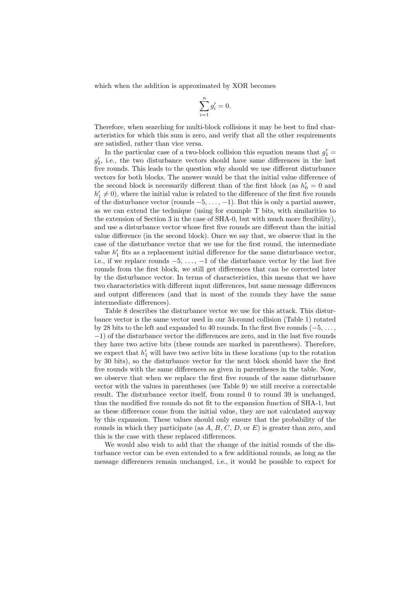which when the addition is approximated by XOR becomes

$$
\sum_{i=1}^{n} g'_i = 0.
$$

Therefore, when searching for multi-block collisions it may be best to find characteristics for which this sum is zero, and verify that all the other requirements are satisfied, rather than vice versa.

In the particular case of a two-block collision this equation means that  $g'_1$  =  $g'_2$ , i.e., the two disturbance vectors should have same differences in the last five rounds. This leads to the question why should we use different disturbance vectors for both blocks. The answer would be that the initial value difference of the second block is necessarily different than of the first block (as  $h'_0 = 0$  and  $h'_1 \neq 0$ , where the initial value is related to the difference of the first five rounds of the disturbance vector (rounds  $-5, \ldots, -1$ ). But this is only a partial answer, as we can extend the technique (using for example T bits, with similarities to the extension of Section 3 in the case of SHA-0, but with much more flexibility), and use a disturbance vector whose first five rounds are different than the initial value difference (in the second block). Once we say that, we observe that in the case of the disturbance vector that we use for the first round, the intermediate value  $h'_1$  fits as a replacement initial difference for the same disturbance vector, i.e., if we replace rounds  $-5, \ldots, -1$  of the disturbance vector by the last five rounds from the first block, we still get differences that can be corrected later by the disturbance vector. In terms of characteristics, this means that we have two characteristics with different input differences, but same message differences and output differences (and that in most of the rounds they have the same intermediate differences).

Table 8 describes the disturbance vector we use for this attack. This disturbance vector is the same vector used in our 34-round collision (Table 1) rotated by 28 bits to the left and expanded to 40 rounds. In the first five rounds  $(-5, \ldots,$ −1) of the disturbance vector the differences are zero, and in the last five rounds they have two active bits (these rounds are marked in parentheses). Therefore, we expect that  $h'_1$  will have two active bits in these locations (up to the rotation by 30 bits), so the disturbance vector for the next block should have the first five rounds with the same differences as given in parentheses in the table. Now, we observe that when we replace the first five rounds of the same disturbance vector with the values in parentheses (see Table 9) we still receive a correctable result. The disturbance vector itself, from round 0 to round 39 is unchanged, thus the modified five rounds do not fit to the expansion function of SHA-1, but as these difference come from the initial value, they are not calculated anyway by this expansion. These values should only ensure that the probability of the rounds in which they participate (as  $A, B, C, D$ , or  $E$ ) is greater than zero, and this is the case with these replaced differences.

We would also wish to add that the change of the initial rounds of the disturbance vector can be even extended to a few additional rounds, as long as the message differences remain unchanged, i.e., it would be possible to expect for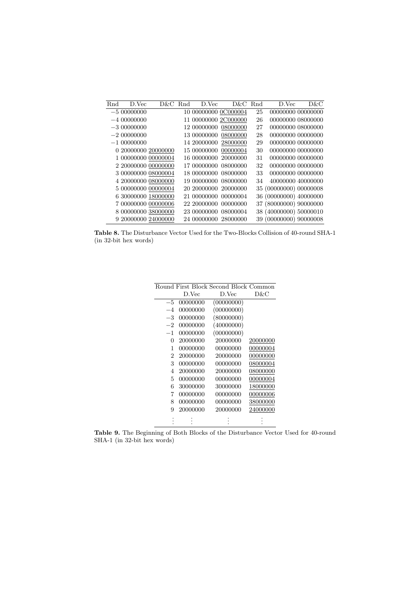| Rnd | D.Vec               | D&C Rnd | D.Vec       | D&C =                | Rnd | D.Vec                  | D&C |
|-----|---------------------|---------|-------------|----------------------|-----|------------------------|-----|
|     | $-500000000$        |         |             | 10 00000000 0C000004 | 25  | 00000000 00000000      |     |
|     | $-400000000$        |         |             | 11 00000000 2C000000 | 26  | 00000000 08000000      |     |
|     | $-300000000$        |         |             | 12 00000000 08000000 | 27  | 00000000 08000000      |     |
|     | $-200000000$        |         | 13 00000000 | 08000000             | 28  | 00000000 00000000      |     |
|     | $-100000000$        |         | 14 20000000 | 28000000             | 29  | 00000000 00000000      |     |
|     | 0 20000000 20000000 |         | 15 00000000 | 00000004             | 30  | 00000000 00000000      |     |
|     | 1 00000000 00000004 |         |             | 16 00000000 20000000 | 31  | 00000000 00000000      |     |
|     | 2 20000000 00000000 |         |             | 17 00000000 08000000 | 32  | 00000000 00000000      |     |
|     | 3 00000000 08000004 |         |             | 18 00000000 08000000 | 33  | 00000000 00000000      |     |
|     | 4 20000000 08000000 |         |             | 19 00000000 08000000 | 34  | 40000000 40000000      |     |
|     | 5 00000000 00000004 |         |             | 20 20000000 20000000 |     | 35 (00000000) 00000008 |     |
|     | 6 30000000 18000000 |         |             | 21 00000000 00000004 |     | 36 (00000000) 40000000 |     |
|     | 7 00000000 00000006 |         |             | 22 20000000 00000000 |     | 37 (80000000) 90000000 |     |
|     | 8 00000000 38000000 |         |             | 23 00000000 08000004 |     | 38 (40000000) 50000010 |     |
|     | 9 20000000 24000000 |         | 24 00000000 | 28000000             |     | 39 (00000000) 90000008 |     |

Table 8. The Disturbance Vector Used for the Two-Blocks Collision of 40-round SHA-1 (in 32-bit hex words)

|         |          | Round First Block Second Block Common |          |
|---------|----------|---------------------------------------|----------|
|         | D.Vec    | D.Vec                                 | D&C      |
| $-5$    | 00000000 | (00000000)                            |          |
| $-4$    | 00000000 | (00000000)                            |          |
| $^{-3}$ | 00000000 | (80000000)                            |          |
| $^{-2}$ | 00000000 | (40000000)                            |          |
| $^{-1}$ | 00000000 | (00000000)                            |          |
| 0       | 20000000 | 20000000                              | 20000000 |
| 1       | 00000000 | 00000000                              | 00000004 |
| 2       | 20000000 | 20000000                              | 00000000 |
| 3       | 00000000 | 00000000                              | 08000004 |
| 4       | 20000000 | 20000000                              | 08000000 |
| 5       | 00000000 | 00000000                              | 00000004 |
| 6       | 30000000 | 30000000                              | 18000000 |
| 7       | 00000000 | 00000000                              | 00000006 |
| 8       | 00000000 | 00000000                              | 38000000 |
| 9       | 20000000 | 20000000                              | 24000000 |
|         |          |                                       |          |

Table 9. The Beginning of Both Blocks of the Disturbance Vector Used for 40-round SHA-1 (in 32-bit hex words)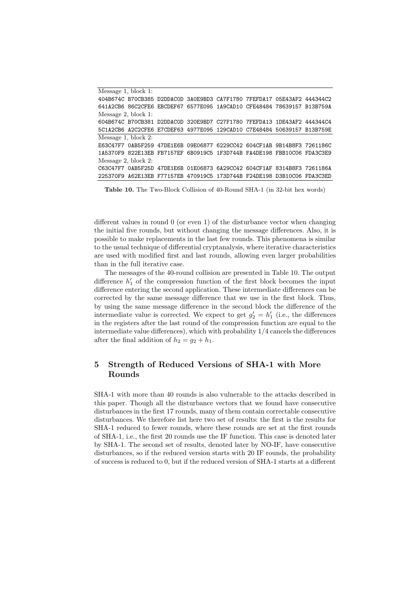| Message 1, block 1:                                                     |  |  |  |  |
|-------------------------------------------------------------------------|--|--|--|--|
| 404B674C B70CB385 D2DDACOD 3A0E9BD3 CA7F1780 7FEFDA17 05E43AF2 444344C2 |  |  |  |  |
| 641A2CB6 86C2CFE6 EBCDEF67 6577E095 1A9CAD10 CFE48484 78639157 B13B759A |  |  |  |  |
| Message 2, block 1:                                                     |  |  |  |  |
| 604B674C B70CB381 D2DDACOD 320E9BD7 C27F1780 7FEFDA13 1DE43AF2 444344C4 |  |  |  |  |
|                                                                         |  |  |  |  |
| Message 1, block 2:                                                     |  |  |  |  |
|                                                                         |  |  |  |  |
| 1A5370F9 822E13EB FB7157EF 6B0919C5 1F3D744B FA4DE198 FBB10C06 FDA3C3E9 |  |  |  |  |
| Message 2, block 2:                                                     |  |  |  |  |
|                                                                         |  |  |  |  |
| 225370F9 A62E13EB F77157EB 470919C5 173D744B F24DE198 D3B10C06 FDA3C3ED |  |  |  |  |

Table 10. The Two-Block Collision of 40-Round SHA-1 (in 32-bit hex words)

different values in round 0 (or even 1) of the disturbance vector when changing the initial five rounds, but without changing the message differences. Also, it is possible to make replacements in the last few rounds. This phenomena is similar to the usual technique of differential cryptanalysis, where iterative characteristics are used with modified first and last rounds, allowing even larger probabilities than in the full iterative case.

The messages of the 40-round collision are presented in Table 10. The output difference  $h'_1$  of the compression function of the first block becomes the input difference entering the second application. These intermediate differences can be corrected by the same message difference that we use in the first block. Thus, by using the same message difference in the second block the difference of the intermediate value is corrected. We expect to get  $g'_2 = h'_1$  (i.e., the differences in the registers after the last round of the compression function are equal to the intermediate value differences), which with probability 1/4 cancels the differences after the final addition of  $h_2 = g_2 + h_1$ .

## 5 Strength of Reduced Versions of SHA-1 with More Rounds

SHA-1 with more than 40 rounds is also vulnerable to the attacks described in this paper. Though all the disturbance vectors that we found have consecutive disturbances in the first 17 rounds, many of them contain correctable consecutive disturbances. We therefore list here two set of results: the first is the results for SHA-1 reduced to fewer rounds, where these rounds are set at the first rounds of SHA-1, i.e., the first 20 rounds use the IF function. This case is denoted later by SHA-1. The second set of results, denoted later by NO-IF, have consecutive disturbances, so if the reduced version starts with 20 IF rounds, the probability of success is reduced to 0, but if the reduced version of SHA-1 starts at a different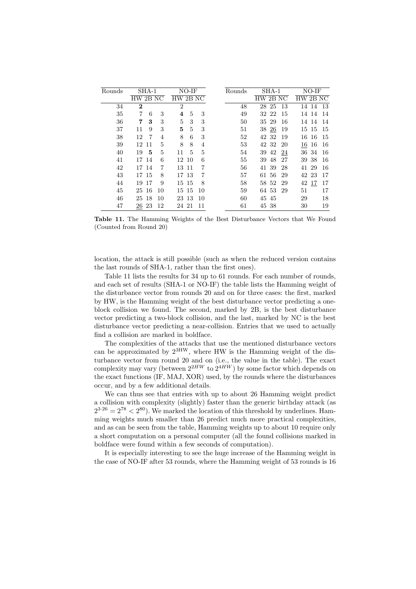| Rounds | $SHA-1$        |     | $NO-IF$        |                |                | Rounds | $SHA-1$ | $NO-IF$        |                  |
|--------|----------------|-----|----------------|----------------|----------------|--------|---------|----------------|------------------|
|        | HW 2B NC       |     |                | $HW 2B$ NC     |                |        |         | HW 2B NC       | $HW 2B$ NC       |
| 34     | $\bf{2}$       |     |                | $\overline{2}$ |                |        | 48      | 28 25<br>-13   | 14 14<br>-13     |
| 35     | $\overline{7}$ | 6   | 3              | 4              | 5              | 3      | 49      | 32 22<br>15    | 14<br>14 14      |
| 36     | 7              | 3   | 3              | 5              | 3              | 3      | 50      | 35 29<br>-16   | -14<br>14 14     |
| 37     | 11             | 9   | 3              | 5              | $\overline{5}$ | 3      | 51      | 38 26<br>19    | -15<br>15 15     |
| 38     | 12             | 7   | 4              | 8              | 6              | 3      | 52      | 42 32<br>19    | 16<br>-16<br>-15 |
| 39     | 12             | 11  | 5              | 8              | 8              | 4      | 53      | 42 32<br>20    | 16<br>-16<br>-16 |
| 40     | 19             | 5   | 5              | 11             | 5              | 5      | 54      | 39<br>42<br>24 | 36 34<br>-16     |
| 41     | 17 14          |     | 6              | 12             | 10             | 6      | 55      | 48<br>27<br>39 | 38<br>16<br>39   |
| 42     | 17 14          |     | $\overline{7}$ | 13 11          |                | 7      | 56      | 28<br>41 39    | 16<br>29<br>41   |
| 43     | 17 15          |     | 8              | 17 13          |                | 7      | 57      | 61 56<br>29    | 42 23<br>17      |
| 44     | 19             | -17 | 9              | 15 15          |                | 8      | 58      | 58 52<br>29    | 42<br>17<br>-17  |
| 45     | 25 16          |     | 10             | 15 15          |                | 10     | 59      | 64 53<br>29    | 17<br>51         |
| 46     | 25 18          |     | 10             | 23 13          |                | 10     | 60      | 45 45          | 29<br>18         |
| 47     | 26             | -23 | 12             | 24             | 21             | 11     | 61      | 45 38          | 30<br>19         |

Table 11. The Hamming Weights of the Best Disturbance Vectors that We Found (Counted from Round 20)

location, the attack is still possible (such as when the reduced version contains the last rounds of SHA-1, rather than the first ones).

Table 11 lists the results for 34 up to 61 rounds. For each number of rounds, and each set of results (SHA-1 or NO-IF) the table lists the Hamming weight of the disturbance vector from rounds 20 and on for three cases: the first, marked by HW, is the Hamming weight of the best disturbance vector predicting a oneblock collision we found. The second, marked by 2B, is the best disturbance vector predicting a two-block collision, and the last, marked by NC is the best disturbance vector predicting a near-collision. Entries that we used to actually find a collision are marked in boldface.

The complexities of the attacks that use the mentioned disturbance vectors can be approximated by  $2^{3HW}$ , where HW is the Hamming weight of the disturbance vector from round 20 and on (i.e., the value in the table). The exact complexity may vary (between  $2^{2HW}$  to  $2^{4HW}$ ) by some factor which depends on the exact functions (IF, MAJ, XOR) used, by the rounds where the disturbances occur, and by a few additional details.

We can thus see that entries with up to about 26 Hamming weight predict a collision with complexity (slightly) faster than the generic birthday attack (as  $2^{3.26} = 2^{78} < 2^{80}$ ). We marked the location of this threshold by underlines. Hamming weights much smaller than 26 predict much more practical complexities, and as can be seen from the table, Hamming weights up to about 10 require only a short computation on a personal computer (all the found collisions marked in boldface were found within a few seconds of computation).

It is especially interesting to see the huge increase of the Hamming weight in the case of NO-IF after 53 rounds, where the Hamming weight of 53 rounds is 16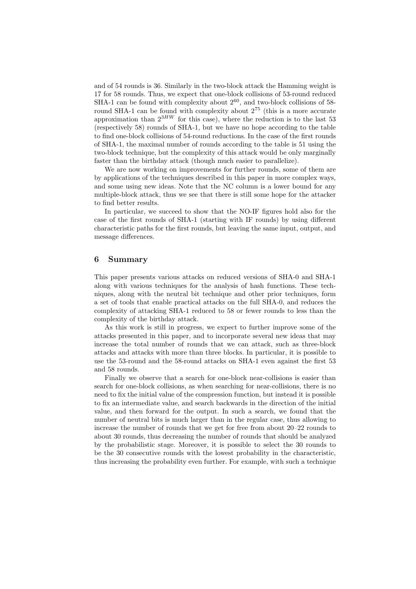and of 54 rounds is 36. Similarly in the two-block attack the Hamming weight is 17 for 58 rounds. Thus, we expect that one-block collisions of 53-round reduced SHA-1 can be found with complexity about  $2^{60}$ , and two-block collisions of 58round SHA-1 can be found with complexity about  $2^{75}$  (this is a more accurate approximation than  $2^{3HW}$  for this case), where the reduction is to the last 53 (respectively 58) rounds of SHA-1, but we have no hope according to the table to find one-block collisions of 54-round reductions. In the case of the first rounds of SHA-1, the maximal number of rounds according to the table is 51 using the two-block technique, but the complexity of this attack would be only marginally faster than the birthday attack (though much easier to parallelize).

We are now working on improvements for further rounds, some of them are by applications of the techniques described in this paper in more complex ways, and some using new ideas. Note that the NC column is a lower bound for any multiple-block attack, thus we see that there is still some hope for the attacker to find better results.

In particular, we succeed to show that the NO-IF figures hold also for the case of the first rounds of SHA-1 (starting with IF rounds) by using different characteristic paths for the first rounds, but leaving the same input, output, and message differences.

### 6 Summary

This paper presents various attacks on reduced versions of SHA-0 and SHA-1 along with various techniques for the analysis of hash functions. These techniques, along with the neutral bit technique and other prior techniques, form a set of tools that enable practical attacks on the full SHA-0, and reduces the complexity of attacking SHA-1 reduced to 58 or fewer rounds to less than the complexity of the birthday attack.

As this work is still in progress, we expect to further improve some of the attacks presented in this paper, and to incorporate several new ideas that may increase the total number of rounds that we can attack, such as three-block attacks and attacks with more than three blocks. In particular, it is possible to use the 53-round and the 58-round attacks on SHA-1 even against the first 53 and 58 rounds.

Finally we observe that a search for one-block near-collisions is easier than search for one-block collisions, as when searching for near-collisions, there is no need to fix the initial value of the compression function, but instead it is possible to fix an intermediate value, and search backwards in the direction of the initial value, and then forward for the output. In such a search, we found that the number of neutral bits is much larger than in the regular case, thus allowing to increase the number of rounds that we get for free from about 20–22 rounds to about 30 rounds, thus decreasing the number of rounds that should be analyzed by the probabilistic stage. Moreover, it is possible to select the 30 rounds to be the 30 consecutive rounds with the lowest probability in the characteristic, thus increasing the probability even further. For example, with such a technique